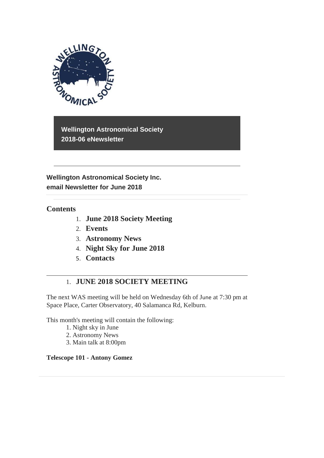

**Wellington Astronomical Society 2018-06 eNewsletter**

**Wellington Astronomical Society Inc. email Newsletter for June 2018** 

### **Contents**

- 1. **June 2018 Society Meeting**
- 2. **Events**
- 3. **Astronomy News**
- 4. **Night Sky for June 2018**
- 5. **Contacts**

## 1. **JUNE 2018 SOCIETY MEETING**

The next WAS meeting will be held on Wednesday 6th of June at 7:30 pm at Space Place, Carter Observatory, 40 Salamanca Rd, Kelburn.

This month's meeting will contain the following:

- 1. Night sky in June
- 2. Astronomy News
- 3. Main talk at 8:00pm

#### **Telescope 101 - Antony Gomez**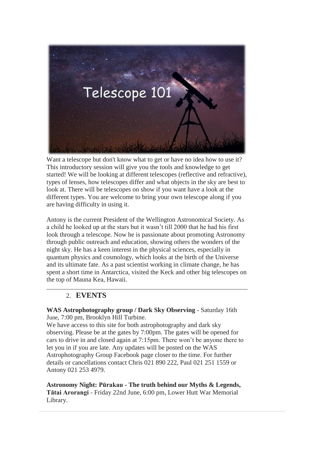

Want a telescope but don't know what to get or have no idea how to use it? This introductory session will give you the tools and knowledge to get started! We will be looking at different telescopes (reflective and refractive), types of lenses, how telescopes differ and what objects in the sky are best to look at. There will be telescopes on show if you want have a look at the different types. You are welcome to bring your own telescope along if you are having difficulty in using it.

Antony is the current President of the Wellington Astronomical Society. As a child he looked up at the stars but it wasn't till 2000 that he had his first look through a telescope. Now he is passionate about promoting Astronomy through public outreach and education, showing others the wonders of the night sky. He has a keen interest in the physical sciences, especially in quantum physics and cosmology, which looks at the birth of the Universe and its ultimate fate. As a past scientist working in climate change, he has spent a short time in Antarctica, visited the Keck and other big telescopes on the top of Mauna Kea, Hawaii.

## 2. **EVENTS**

**WAS Astrophotography group / Dark Sky Observing** - Saturday 16th June, 7:00 pm, Brooklyn Hill Turbine.

We have access to this site for both astrophotography and dark sky observing. Please be at the gates by 7:00pm. The gates will be opened for cars to drive in and closed again at 7:15pm. There won't be anyone there to let you in if you are late. Any updates will be posted on the WAS Astrophotography Group Facebook page closer to the time. For further details or cancellations contact Chris 021 890 222, Paul 021 251 1559 or Antony 021 253 4979.

**Astronomy Night: Pūrakau - The truth behind our Myths & Legends, Tātai Arorangi** - Friday 22nd June, 6:00 pm, Lower Hutt War Memorial Library.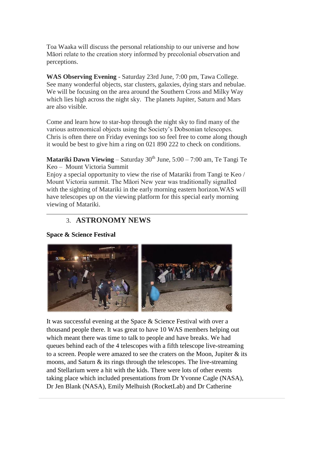Toa Waaka will discuss the personal relationship to our universe and how Māori relate to the creation story informed by precolonial observation and perceptions.

**WAS Observing Evening** - Saturday 23rd June, 7:00 pm, Tawa College. See many wonderful objects, star clusters, galaxies, dying stars and nebulae. We will be focusing on the area around the Southern Cross and Milky Way which lies high across the night sky. The planets Jupiter, Saturn and Mars are also visible.

Come and learn how to star-hop through the night sky to find many of the various astronomical objects using the Society's Dobsonian telescopes. Chris is often there on Friday evenings too so feel free to come along though it would be best to give him a ring on 021 890 222 to check on conditions.

**Matariki Dawn Viewing** – Saturday  $30<sup>th</sup>$  June,  $5:00 - 7:00$  am, Te Tangi Te Keo – Mount Victoria Summit

Enjoy a special opportunity to view the rise of Matariki from Tangi te Keo / Mount Victoria summit. The Māori New year was traditionally signalled with the sighting of Matariki in the early morning eastern horizon.WAS will have telescopes up on the viewing platform for this special early morning viewing of Matariki.

### 3. **ASTRONOMY NEWS**

**Space & Science Festival**



It was successful evening at the Space & Science Festival with over a thousand people there. It was great to have 10 WAS members helping out which meant there was time to talk to people and have breaks. We had queues behind each of the 4 telescopes with a fifth telescope live-streaming to a screen. People were amazed to see the craters on the Moon, Jupiter  $\&$  its moons, and Saturn & its rings through the telescopes. The live-streaming and Stellarium were a hit with the kids. There were lots of other events taking place which included presentations from Dr Yvonne Cagle (NASA), Dr Jen Blank (NASA), Emily Melhuish (RocketLab) and Dr Catherine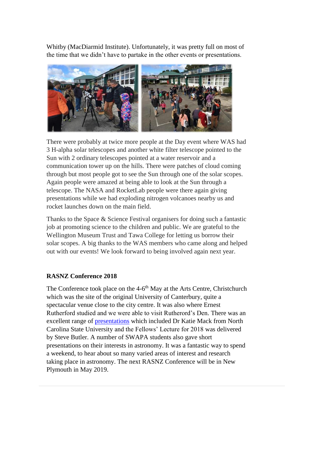Whitby (MacDiarmid Institute). Unfortunately, it was pretty full on most of the time that we didn't have to partake in the other events or presentations.



There were probably at twice more people at the Day event where WAS had 3 H-alpha solar telescopes and another white filter telescope pointed to the Sun with 2 ordinary telescopes pointed at a water reservoir and a communication tower up on the hills. There were patches of cloud coming through but most people got to see the Sun through one of the solar scopes. Again people were amazed at being able to look at the Sun through a telescope. The NASA and RocketLab people were there again giving presentations while we had exploding nitrogen volcanoes nearby us and rocket launches down on the main field.

Thanks to the Space & Science Festival organisers for doing such a fantastic job at promoting science to the children and public. We are grateful to the Wellington Museum Trust and Tawa College for letting us borrow their solar scopes. A big thanks to the WAS members who came along and helped out with our events! We look forward to being involved again next year.

### **RASNZ Conference 2018**

The Conference took place on the 4-6<sup>th</sup> May at the Arts Centre, Christchurch which was the site of the original University of Canterbury, quite a spectacular venue close to the city centre. It was also where Ernest Rutherford studied and we were able to visit Rutherord's Den. There was an excellent range of [presentations](http://www.rasnz.org.nz/index.php/groupsnews-events/events/32-conference/444-conf-next) which included Dr Katie Mack from North Carolina State University and the Fellows' Lecture for 2018 was delivered by Steve Butler. A number of SWAPA students also gave short presentations on their interests in astronomy. It was a fantastic way to spend a weekend, to hear about so many varied areas of interest and research taking place in astronomy. The next RASNZ Conference will be in New Plymouth in May 2019.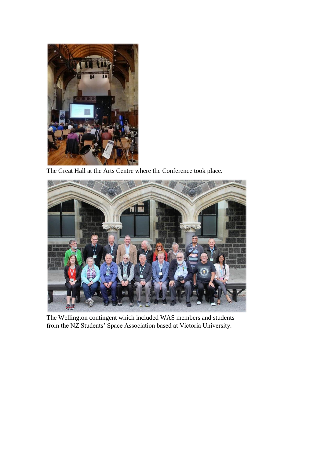

The Great Hall at the Arts Centre where the Conference took place.



The Wellington contingent which included WAS members and students from the NZ Students' Space Association based at Victoria University.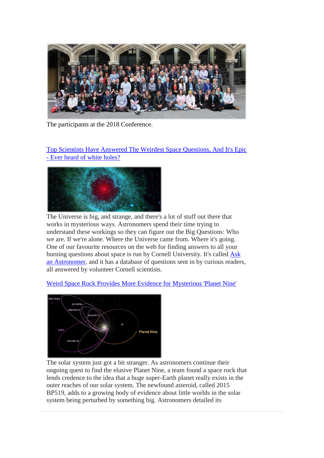

The participants at the 2018 Conference.

[Top Scientists Have Answered The Weirdest Space Questions, And It's Epic](https://www.sciencealert.com/cornell-university-ask-an-astronomer-five-favourite-answers-space-universe-white-holes-stars-gravity)  - [Ever heard of white holes?](https://www.sciencealert.com/cornell-university-ask-an-astronomer-five-favourite-answers-space-universe-white-holes-stars-gravity)



The Universe is big, and strange, and there's a lot of stuff out there that works in mysterious ways. Astronomers spend their time trying to understand these workings so they can figure out the Big Questions: Who we are. If we're alone. Where the Universe came from. Where it's going. One of our favourite resources on the web for finding answers to all your burning questions about space is run by Cornell University. It's called [Ask](http://curious.astro.cornell.edu/)  [an Astronomer,](http://curious.astro.cornell.edu/) and it has a database of questions sent in by curious readers, all answered by volunteer Cornell scientists.

[Weird Space Rock Provides More Evidence for Mysterious 'Planet Nine'](https://www.space.com/40642-space-rock-generates-planet-nine-excitement.html)



The solar system just got a bit stranger. As astronomers continue their ongoing quest to find the elusive Planet Nine, a team found a space rock that lends credence to the idea that a huge super-Earth planet really exists in the outer reaches of our solar system. The newfound asteroid, called 2015 BP519, adds to a growing body of evidence about little worlds in the solar system being perturbed by something big. Astronomers detailed its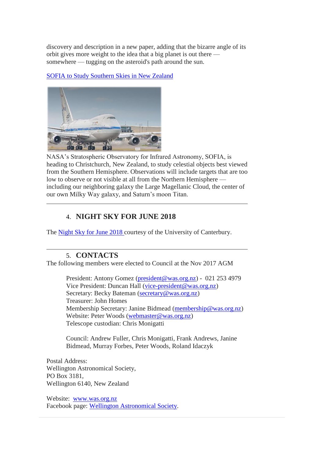discovery and description in a new paper, adding that the bizarre angle of its orbit gives more weight to the idea that a big planet is out there somewhere — tugging on the asteroid's path around the sun.

[SOFIA to Study Southern Skies in New Zealand](https://www.nasa.gov/feature/sofia-to-study-southern-skies-in-new-zealand)



NASA's Stratospheric Observatory for Infrared Astronomy, SOFIA, is heading to Christchurch, New Zealand, to study celestial objects best viewed from the Southern Hemisphere. Observations will include targets that are too low to observe or not visible at all from the Northern Hemisphere including our neighboring galaxy the Large Magellanic Cloud, the center of our own Milky Way galaxy, and Saturn's moon Titan.

# 4. **NIGHT SKY FOR JUNE 2018**

The [Night Sky for June](https://drive.google.com/open?id=1Wep3xiXeNUVOqhXU6KJG8cUNBxpCIiyn) 2018 courtesy of the University of Canterbury.

## 5. **CONTACTS**

The following members were elected to Council at the Nov 2017 AGM

President: Antony Gomez [\(president@was.org.nz\)](mailto:president@was.org.nz) - 021 253 4979 Vice President: Duncan Hall [\(vice-president@was.org.nz\)](mailto:vice-president@was.org.nz) Secretary: Becky Bateman [\(secretary@was.org.nz\)](mailto:secretary@was.org.nz) Treasurer: John Homes Membership Secretary: Janine Bidmead [\(membership@was.org.nz\)](mailto:membership@was.org.nz) Website: Peter Woods [\(webmaster@was.org.nz\)](mailto:webmaster@was.org.nz) Telescope custodian: Chris Monigatti

Council: Andrew Fuller, Chris Monigatti, Frank Andrews, Janine Bidmead, Murray Forbes, Peter Woods, Roland Idaczyk

Postal Address: Wellington Astronomical Society, PO Box 3181, Wellington 6140, New Zealand

Website: [www.was.org.nz](http://www.was.org.nz/) Facebook page: [Wellington Astronomical Society.](http://www.facebook.com/WellingtonAstronomicalSociety/)